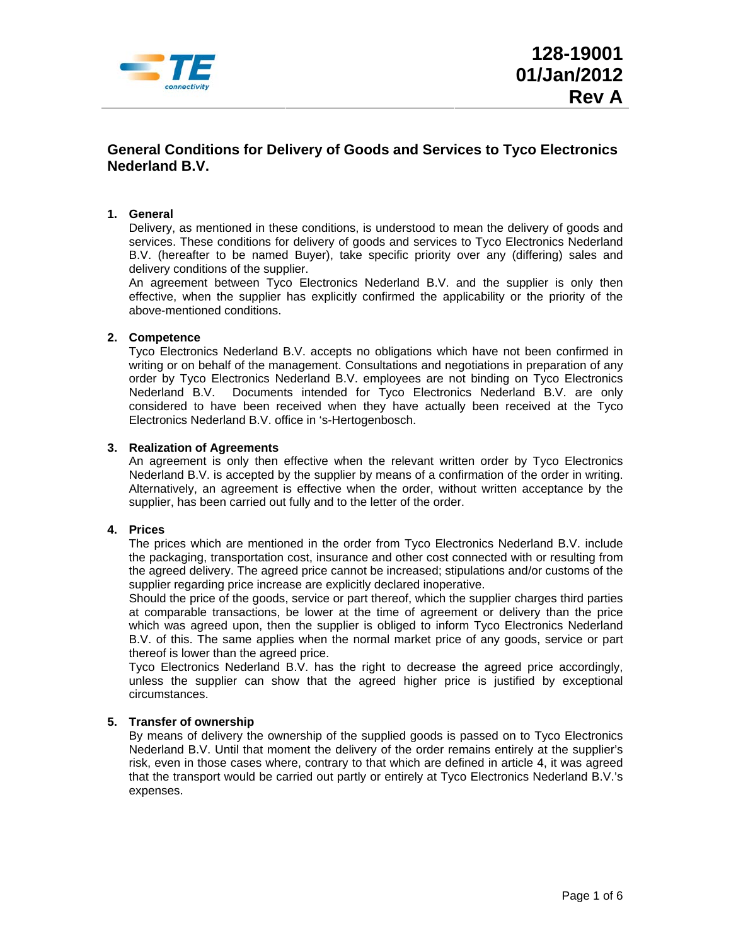

# **General Conditions for Delivery of Goods and Services to Tyco Electronics Nederland B.V.**

# **1. General**

Delivery, as mentioned in these conditions, is understood to mean the delivery of goods and services. These conditions for delivery of goods and services to Tyco Electronics Nederland B.V. (hereafter to be named Buyer), take specific priority over any (differing) sales and delivery conditions of the supplier.

An agreement between Tyco Electronics Nederland B.V. and the supplier is only then effective, when the supplier has explicitly confirmed the applicability or the priority of the above-mentioned conditions.

### **2. Competence**

Tyco Electronics Nederland B.V. accepts no obligations which have not been confirmed in writing or on behalf of the management. Consultations and negotiations in preparation of any order by Tyco Electronics Nederland B.V. employees are not binding on Tyco Electronics Nederland B.V. Documents intended for Tyco Electronics Nederland B.V. are only considered to have been received when they have actually been received at the Tyco Electronics Nederland B.V. office in 's-Hertogenbosch.

#### **3. Realization of Agreements**

An agreement is only then effective when the relevant written order by Tyco Electronics Nederland B.V. is accepted by the supplier by means of a confirmation of the order in writing. Alternatively, an agreement is effective when the order, without written acceptance by the supplier, has been carried out fully and to the letter of the order.

### **4. Prices**

The prices which are mentioned in the order from Tyco Electronics Nederland B.V. include the packaging, transportation cost, insurance and other cost connected with or resulting from the agreed delivery. The agreed price cannot be increased; stipulations and/or customs of the supplier regarding price increase are explicitly declared inoperative.

Should the price of the goods, service or part thereof, which the supplier charges third parties at comparable transactions, be lower at the time of agreement or delivery than the price which was agreed upon, then the supplier is obliged to inform Tyco Electronics Nederland B.V. of this. The same applies when the normal market price of any goods, service or part thereof is lower than the agreed price.

Tyco Electronics Nederland B.V. has the right to decrease the agreed price accordingly, unless the supplier can show that the agreed higher price is justified by exceptional circumstances.

### **5. Transfer of ownership**

By means of delivery the ownership of the supplied goods is passed on to Tyco Electronics Nederland B.V. Until that moment the delivery of the order remains entirely at the supplier's risk, even in those cases where, contrary to that which are defined in article 4, it was agreed that the transport would be carried out partly or entirely at Tyco Electronics Nederland B.V.'s expenses.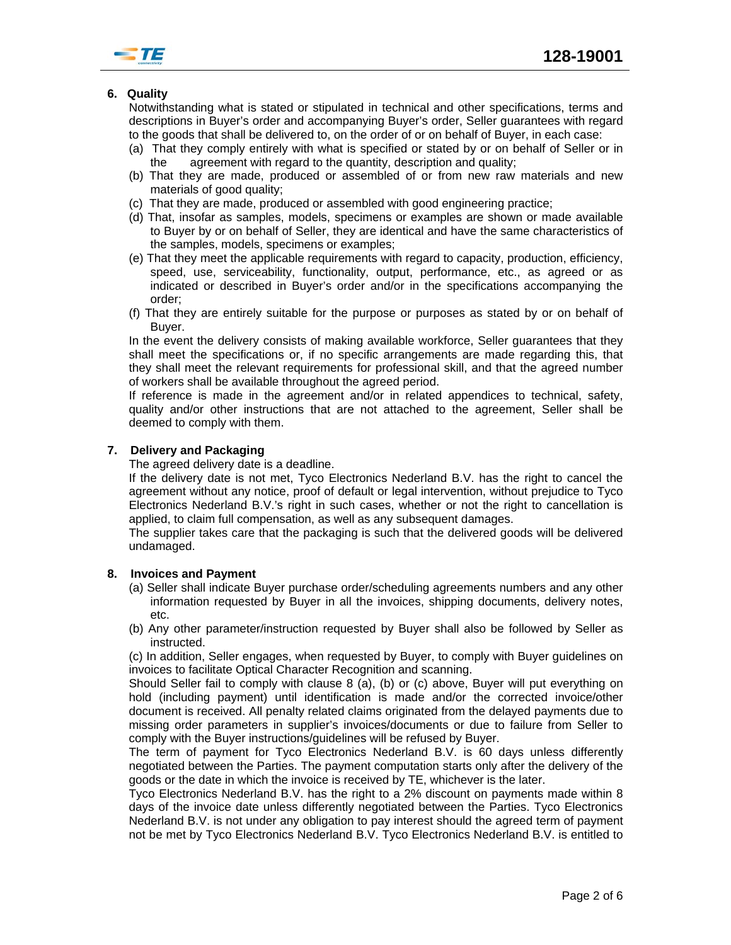

# **6. Quality**

Notwithstanding what is stated or stipulated in technical and other specifications, terms and descriptions in Buyer's order and accompanying Buyer's order, Seller guarantees with regard to the goods that shall be delivered to, on the order of or on behalf of Buyer, in each case:

- (a) That they comply entirely with what is specified or stated by or on behalf of Seller or in the agreement with regard to the quantity, description and quality;
- (b) That they are made, produced or assembled of or from new raw materials and new materials of good quality;
- (c)That they are made, produced or assembled with good engineering practice;
- (d) That, insofar as samples, models, specimens or examples are shown or made available to Buyer by or on behalf of Seller, they are identical and have the same characteristics of the samples, models, specimens or examples;
- (e) That they meet the applicable requirements with regard to capacity, production, efficiency, speed, use, serviceability, functionality, output, performance, etc., as agreed or as indicated or described in Buyer's order and/or in the specifications accompanying the order;
- (f) That they are entirely suitable for the purpose or purposes as stated by or on behalf of Buyer.

In the event the delivery consists of making available workforce, Seller guarantees that they shall meet the specifications or, if no specific arrangements are made regarding this, that they shall meet the relevant requirements for professional skill, and that the agreed number of workers shall be available throughout the agreed period.

If reference is made in the agreement and/or in related appendices to technical, safety, quality and/or other instructions that are not attached to the agreement, Seller shall be deemed to comply with them.

### **7. Delivery and Packaging**

The agreed delivery date is a deadline.

If the delivery date is not met, Tyco Electronics Nederland B.V. has the right to cancel the agreement without any notice, proof of default or legal intervention, without prejudice to Tyco Electronics Nederland B.V.'s right in such cases, whether or not the right to cancellation is applied, to claim full compensation, as well as any subsequent damages.

The supplier takes care that the packaging is such that the delivered goods will be delivered undamaged.

#### **8. Invoices and Payment**

- (a) Seller shall indicate Buyer purchase order/scheduling agreements numbers and any other information requested by Buyer in all the invoices, shipping documents, delivery notes, etc.
- (b) Any other parameter/instruction requested by Buyer shall also be followed by Seller as instructed.

(c) In addition, Seller engages, when requested by Buyer, to comply with Buyer guidelines on invoices to facilitate Optical Character Recognition and scanning.

Should Seller fail to comply with clause 8 (a), (b) or (c) above, Buyer will put everything on hold (including payment) until identification is made and/or the corrected invoice/other document is received. All penalty related claims originated from the delayed payments due to missing order parameters in supplier's invoices/documents or due to failure from Seller to comply with the Buyer instructions/guidelines will be refused by Buyer.

The term of payment for Tyco Electronics Nederland B.V. is 60 days unless differently negotiated between the Parties. The payment computation starts only after the delivery of the goods or the date in which the invoice is received by TE, whichever is the later.

Tyco Electronics Nederland B.V. has the right to a 2% discount on payments made within 8 days of the invoice date unless differently negotiated between the Parties. Tyco Electronics Nederland B.V. is not under any obligation to pay interest should the agreed term of payment not be met by Tyco Electronics Nederland B.V. Tyco Electronics Nederland B.V. is entitled to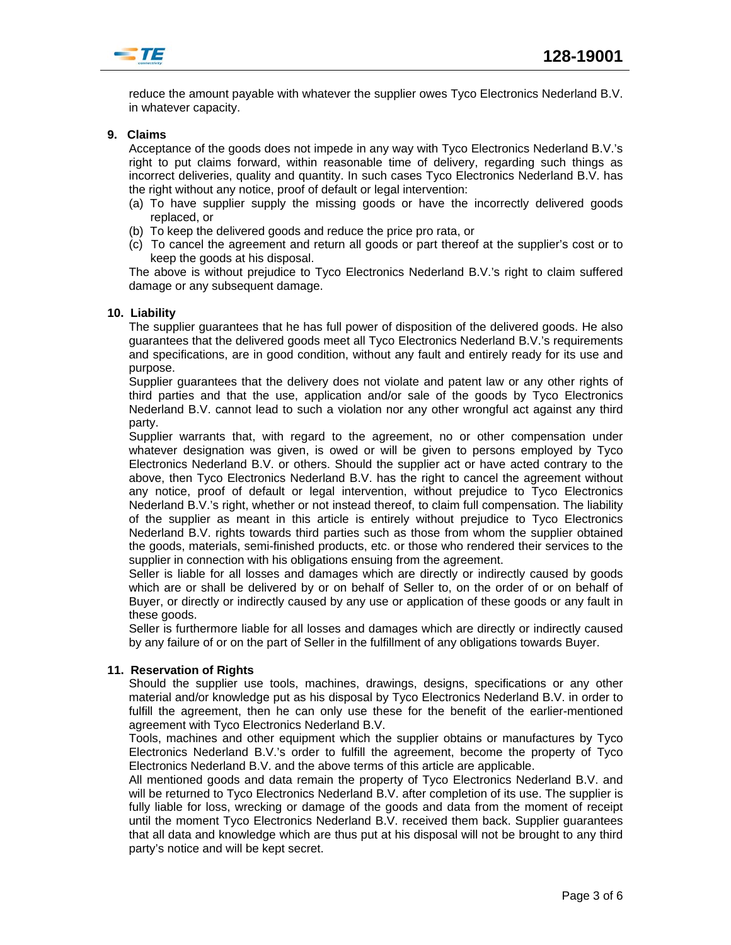

reduce the amount payable with whatever the supplier owes Tyco Electronics Nederland B.V. in whatever capacity.

## **9. Claims**

Acceptance of the goods does not impede in any way with Tyco Electronics Nederland B.V.'s right to put claims forward, within reasonable time of delivery, regarding such things as incorrect deliveries, quality and quantity. In such cases Tyco Electronics Nederland B.V. has the right without any notice, proof of default or legal intervention:

- (a) To have supplier supply the missing goods or have the incorrectly delivered goods replaced, or
- (b) To keep the delivered goods and reduce the price pro rata, or
- (c) To cancel the agreement and return all goods or part thereof at the supplier's cost or to keep the goods at his disposal.

The above is without prejudice to Tyco Electronics Nederland B.V.'s right to claim suffered damage or any subsequent damage.

#### **10. Liability**

The supplier guarantees that he has full power of disposition of the delivered goods. He also guarantees that the delivered goods meet all Tyco Electronics Nederland B.V.'s requirements and specifications, are in good condition, without any fault and entirely ready for its use and purpose.

Supplier guarantees that the delivery does not violate and patent law or any other rights of third parties and that the use, application and/or sale of the goods by Tyco Electronics Nederland B.V. cannot lead to such a violation nor any other wrongful act against any third party.

Supplier warrants that, with regard to the agreement, no or other compensation under whatever designation was given, is owed or will be given to persons employed by Tyco Electronics Nederland B.V. or others. Should the supplier act or have acted contrary to the above, then Tyco Electronics Nederland B.V. has the right to cancel the agreement without any notice, proof of default or legal intervention, without prejudice to Tyco Electronics Nederland B.V.'s right, whether or not instead thereof, to claim full compensation. The liability of the supplier as meant in this article is entirely without prejudice to Tyco Electronics Nederland B.V. rights towards third parties such as those from whom the supplier obtained the goods, materials, semi-finished products, etc. or those who rendered their services to the supplier in connection with his obligations ensuing from the agreement.

Seller is liable for all losses and damages which are directly or indirectly caused by goods which are or shall be delivered by or on behalf of Seller to, on the order of or on behalf of Buyer, or directly or indirectly caused by any use or application of these goods or any fault in these goods.

Seller is furthermore liable for all losses and damages which are directly or indirectly caused by any failure of or on the part of Seller in the fulfillment of any obligations towards Buyer.

### **11. Reservation of Rights**

Should the supplier use tools, machines, drawings, designs, specifications or any other material and/or knowledge put as his disposal by Tyco Electronics Nederland B.V. in order to fulfill the agreement, then he can only use these for the benefit of the earlier-mentioned agreement with Tyco Electronics Nederland B.V.

Tools, machines and other equipment which the supplier obtains or manufactures by Tyco Electronics Nederland B.V.'s order to fulfill the agreement, become the property of Tyco Electronics Nederland B.V. and the above terms of this article are applicable.

All mentioned goods and data remain the property of Tyco Electronics Nederland B.V. and will be returned to Tyco Electronics Nederland B.V. after completion of its use. The supplier is fully liable for loss, wrecking or damage of the goods and data from the moment of receipt until the moment Tyco Electronics Nederland B.V. received them back. Supplier guarantees that all data and knowledge which are thus put at his disposal will not be brought to any third party's notice and will be kept secret.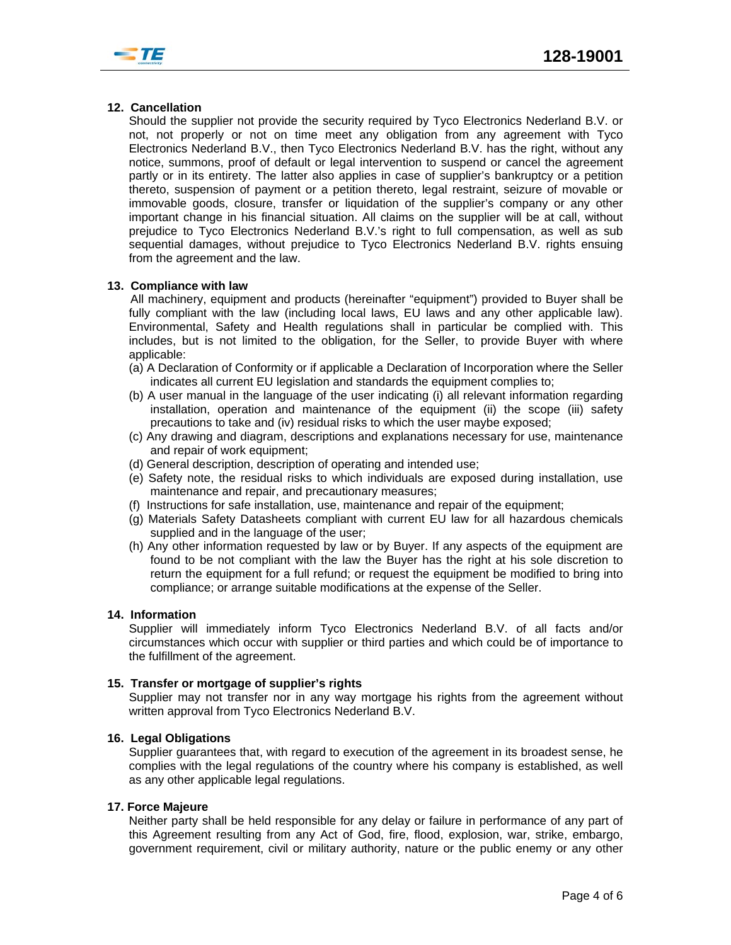

## **12. Cancellation**

Should the supplier not provide the security required by Tyco Electronics Nederland B.V. or not, not properly or not on time meet any obligation from any agreement with Tyco Electronics Nederland B.V., then Tyco Electronics Nederland B.V. has the right, without any notice, summons, proof of default or legal intervention to suspend or cancel the agreement partly or in its entirety. The latter also applies in case of supplier's bankruptcy or a petition thereto, suspension of payment or a petition thereto, legal restraint, seizure of movable or immovable goods, closure, transfer or liquidation of the supplier's company or any other important change in his financial situation. All claims on the supplier will be at call, without prejudice to Tyco Electronics Nederland B.V.'s right to full compensation, as well as sub sequential damages, without prejudice to Tyco Electronics Nederland B.V. rights ensuing from the agreement and the law.

## **13. Compliance with law**

All machinery, equipment and products (hereinafter "equipment") provided to Buyer shall be fully compliant with the law (including local laws, EU laws and any other applicable law). Environmental, Safety and Health regulations shall in particular be complied with. This includes, but is not limited to the obligation, for the Seller, to provide Buyer with where applicable:

- (a) A Declaration of Conformity or if applicable a Declaration of Incorporation where the Seller indicates all current EU legislation and standards the equipment complies to;
- (b) A user manual in the language of the user indicating (i) all relevant information regarding installation, operation and maintenance of the equipment (ii) the scope (iii) safety precautions to take and (iv) residual risks to which the user maybe exposed;
- (c) Any drawing and diagram, descriptions and explanations necessary for use, maintenance and repair of work equipment;
- (d) General description, description of operating and intended use;
- (e) Safety note, the residual risks to which individuals are exposed during installation, use maintenance and repair, and precautionary measures;
- (f) Instructions for safe installation, use, maintenance and repair of the equipment;
- (g) Materials Safety Datasheets compliant with current EU law for all hazardous chemicals supplied and in the language of the user;
- (h) Any other information requested by law or by Buyer. If any aspects of the equipment are found to be not compliant with the law the Buyer has the right at his sole discretion to return the equipment for a full refund; or request the equipment be modified to bring into compliance; or arrange suitable modifications at the expense of the Seller.

### **14. Information**

Supplier will immediately inform Tyco Electronics Nederland B.V. of all facts and/or circumstances which occur with supplier or third parties and which could be of importance to the fulfillment of the agreement.

### **15. Transfer or mortgage of supplier's rights**

Supplier may not transfer nor in any way mortgage his rights from the agreement without written approval from Tyco Electronics Nederland B.V.

### **16. Legal Obligations**

Supplier guarantees that, with regard to execution of the agreement in its broadest sense, he complies with the legal regulations of the country where his company is established, as well as any other applicable legal regulations.

### **17. Force Majeure**

Neither party shall be held responsible for any delay or failure in performance of any part of this Agreement resulting from any Act of God, fire, flood, explosion, war, strike, embargo, government requirement, civil or military authority, nature or the public enemy or any other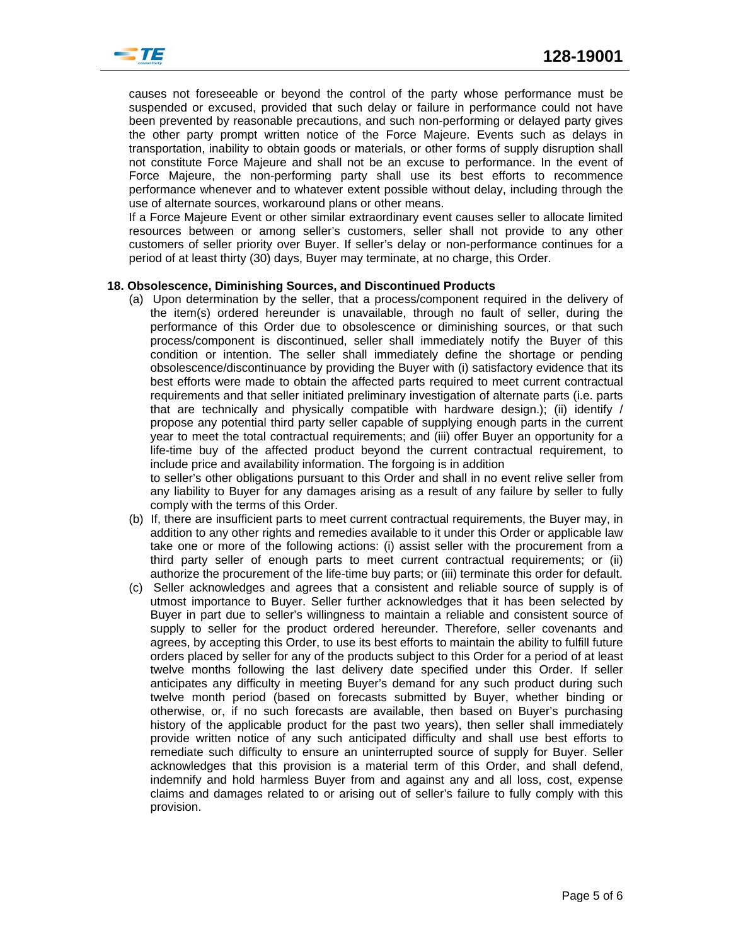

causes not foreseeable or beyond the control of the party whose performance must be suspended or excused, provided that such delay or failure in performance could not have been prevented by reasonable precautions, and such non-performing or delayed party gives the other party prompt written notice of the Force Majeure. Events such as delays in transportation, inability to obtain goods or materials, or other forms of supply disruption shall not constitute Force Majeure and shall not be an excuse to performance. In the event of Force Majeure, the non-performing party shall use its best efforts to recommence performance whenever and to whatever extent possible without delay, including through the use of alternate sources, workaround plans or other means.

If a Force Majeure Event or other similar extraordinary event causes seller to allocate limited resources between or among seller's customers, seller shall not provide to any other customers of seller priority over Buyer. If seller's delay or non-performance continues for a period of at least thirty (30) days, Buyer may terminate, at no charge, this Order.

### **18. Obsolescence, Diminishing Sources, and Discontinued Products**

(a) Upon determination by the seller, that a process/component required in the delivery of the item(s) ordered hereunder is unavailable, through no fault of seller, during the performance of this Order due to obsolescence or diminishing sources, or that such process/component is discontinued, seller shall immediately notify the Buyer of this condition or intention. The seller shall immediately define the shortage or pending obsolescence/discontinuance by providing the Buyer with (i) satisfactory evidence that its best efforts were made to obtain the affected parts required to meet current contractual requirements and that seller initiated preliminary investigation of alternate parts (i.e. parts that are technically and physically compatible with hardware design.); (ii) identify / propose any potential third party seller capable of supplying enough parts in the current year to meet the total contractual requirements; and (iii) offer Buyer an opportunity for a life-time buy of the affected product beyond the current contractual requirement, to include price and availability information. The forgoing is in addition

to seller's other obligations pursuant to this Order and shall in no event relive seller from any liability to Buyer for any damages arising as a result of any failure by seller to fully comply with the terms of this Order.

- (b) If, there are insufficient parts to meet current contractual requirements, the Buyer may, in addition to any other rights and remedies available to it under this Order or applicable law take one or more of the following actions: (i) assist seller with the procurement from a third party seller of enough parts to meet current contractual requirements; or (ii) authorize the procurement of the life-time buy parts; or (iii) terminate this order for default.
- (c) Seller acknowledges and agrees that a consistent and reliable source of supply is of utmost importance to Buyer. Seller further acknowledges that it has been selected by Buyer in part due to seller's willingness to maintain a reliable and consistent source of supply to seller for the product ordered hereunder. Therefore, seller covenants and agrees, by accepting this Order, to use its best efforts to maintain the ability to fulfill future orders placed by seller for any of the products subject to this Order for a period of at least twelve months following the last delivery date specified under this Order. If seller anticipates any difficulty in meeting Buyer's demand for any such product during such twelve month period (based on forecasts submitted by Buyer, whether binding or otherwise, or, if no such forecasts are available, then based on Buyer's purchasing history of the applicable product for the past two years), then seller shall immediately provide written notice of any such anticipated difficulty and shall use best efforts to remediate such difficulty to ensure an uninterrupted source of supply for Buyer. Seller acknowledges that this provision is a material term of this Order, and shall defend, indemnify and hold harmless Buyer from and against any and all loss, cost, expense claims and damages related to or arising out of seller's failure to fully comply with this provision.